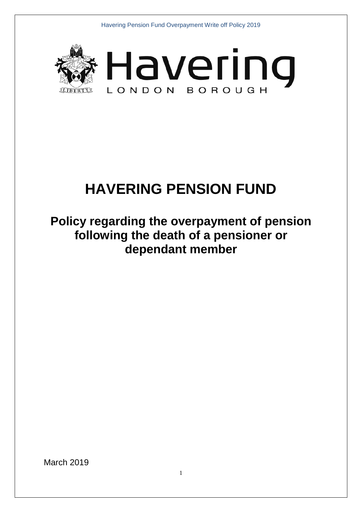



# **HAVERING PENSION FUND**

# **Policy regarding the overpayment of pension following the death of a pensioner or dependant member**

March 2019